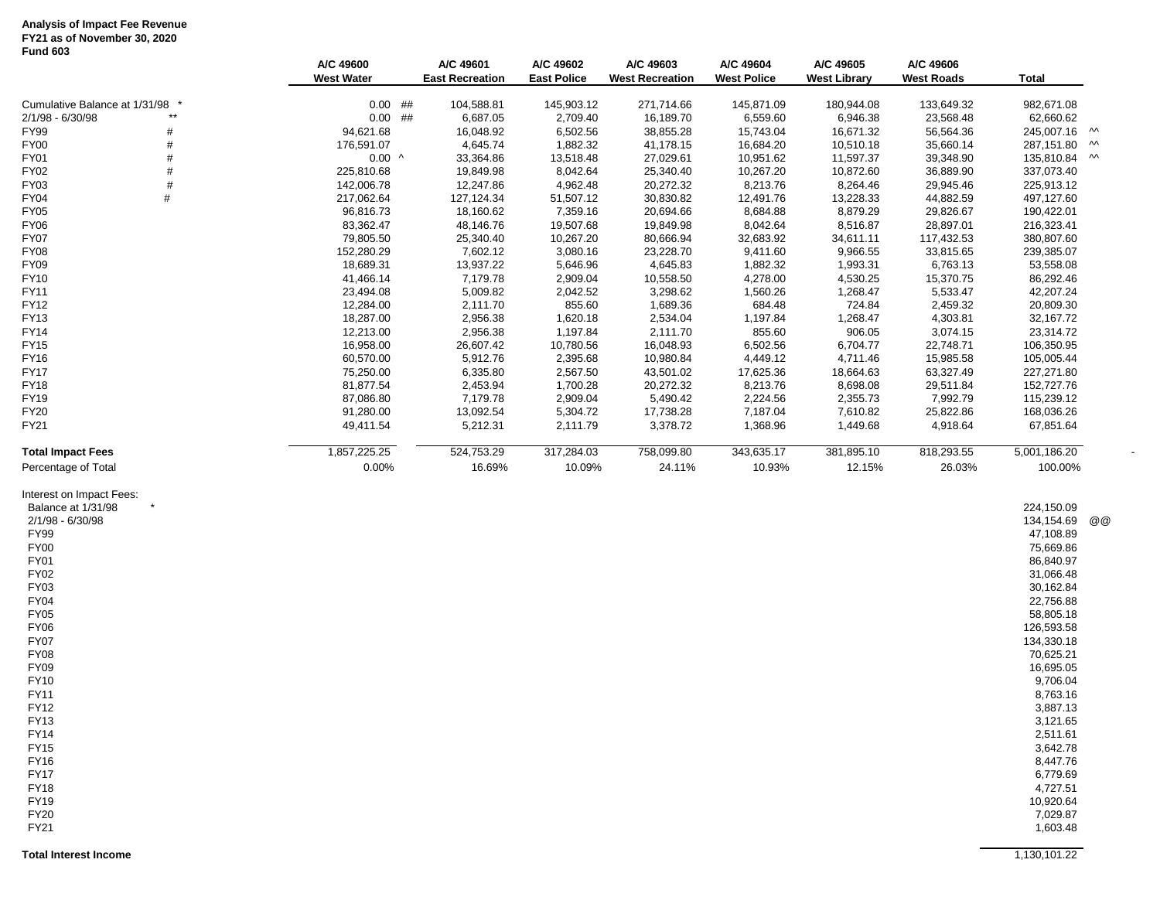#### **Analysis of Impact Fee Revenue FY21 as of November 30, 2020 Fund 603**

|                                                                                                                                                                                                                                                                                                                                                                            | A/C 49600<br>West Water  | A/C 49601<br><b>East Recreation</b> | A/C 49602<br><b>East Police</b> | A/C 49603<br><b>West Recreation</b> | A/C 49604<br><b>West Police</b> | A/C 49605<br><b>West Library</b> | A/C 49606<br><b>West Roads</b> | <b>Total</b>                                                                                                                                                                                                                                                                                                               |        |
|----------------------------------------------------------------------------------------------------------------------------------------------------------------------------------------------------------------------------------------------------------------------------------------------------------------------------------------------------------------------------|--------------------------|-------------------------------------|---------------------------------|-------------------------------------|---------------------------------|----------------------------------|--------------------------------|----------------------------------------------------------------------------------------------------------------------------------------------------------------------------------------------------------------------------------------------------------------------------------------------------------------------------|--------|
|                                                                                                                                                                                                                                                                                                                                                                            |                          |                                     |                                 |                                     |                                 |                                  |                                |                                                                                                                                                                                                                                                                                                                            |        |
| Cumulative Balance at 1/31/98<br>$^{\star\star}$                                                                                                                                                                                                                                                                                                                           | $0.00$ ##                | 104,588.81                          | 145,903.12                      | 271,714.66                          | 145,871.09                      | 180,944.08                       | 133,649.32                     | 982,671.08                                                                                                                                                                                                                                                                                                                 |        |
| 2/1/98 - 6/30/98                                                                                                                                                                                                                                                                                                                                                           | $0.00$ ##                | 6,687.05                            | 2,709.40                        | 16,189.70                           | 6,559.60                        | 6,946.38                         | 23,568.48                      | 62,660.62                                                                                                                                                                                                                                                                                                                  |        |
| FY99<br>#                                                                                                                                                                                                                                                                                                                                                                  | 94,621.68                | 16,048.92                           | 6,502.56                        | 38,855.28                           | 15,743.04                       | 16,671.32                        | 56,564.36                      | 245,007.16 M                                                                                                                                                                                                                                                                                                               |        |
| #<br>FY00<br>#<br><b>FY01</b>                                                                                                                                                                                                                                                                                                                                              | 176,591.07               | 4,645.74                            | 1,882.32                        | 41,178.15                           | 16,684.20                       | 10,510.18                        | 35,660.14                      | 287,151.80                                                                                                                                                                                                                                                                                                                 | $\sim$ |
| #<br>FY02                                                                                                                                                                                                                                                                                                                                                                  | $0.00$ ^                 | 33,364.86                           | 13,518.48                       | 27,029.61                           | 10,951.62<br>10,267.20          | 11,597.37<br>10,872.60           | 39,348.90<br>36,889.90         | 135,810.84 M                                                                                                                                                                                                                                                                                                               |        |
| #<br>FY03                                                                                                                                                                                                                                                                                                                                                                  | 225,810.68<br>142,006.78 | 19,849.98<br>12,247.86              | 8,042.64<br>4,962.48            | 25,340.40<br>20,272.32              | 8,213.76                        | 8,264.46                         | 29,945.46                      | 337,073.40<br>225,913.12                                                                                                                                                                                                                                                                                                   |        |
| FY04<br>#                                                                                                                                                                                                                                                                                                                                                                  | 217,062.64               | 127,124.34                          | 51,507.12                       | 30,830.82                           | 12,491.76                       | 13,228.33                        | 44,882.59                      | 497,127.60                                                                                                                                                                                                                                                                                                                 |        |
| FY05                                                                                                                                                                                                                                                                                                                                                                       | 96,816.73                | 18,160.62                           | 7,359.16                        | 20,694.66                           | 8,684.88                        | 8,879.29                         | 29,826.67                      | 190,422.01                                                                                                                                                                                                                                                                                                                 |        |
| FY06                                                                                                                                                                                                                                                                                                                                                                       | 83,362.47                | 48,146.76                           | 19,507.68                       | 19,849.98                           | 8,042.64                        | 8,516.87                         | 28,897.01                      | 216,323.41                                                                                                                                                                                                                                                                                                                 |        |
| <b>FY07</b>                                                                                                                                                                                                                                                                                                                                                                | 79,805.50                | 25,340.40                           | 10,267.20                       | 80,666.94                           | 32,683.92                       | 34,611.11                        | 117,432.53                     | 380,807.60                                                                                                                                                                                                                                                                                                                 |        |
| <b>FY08</b>                                                                                                                                                                                                                                                                                                                                                                | 152,280.29               | 7,602.12                            | 3,080.16                        | 23,228.70                           | 9,411.60                        | 9,966.55                         | 33,815.65                      | 239,385.07                                                                                                                                                                                                                                                                                                                 |        |
| FY09                                                                                                                                                                                                                                                                                                                                                                       | 18,689.31                | 13,937.22                           | 5,646.96                        | 4,645.83                            | 1,882.32                        | 1,993.31                         | 6,763.13                       | 53,558.08                                                                                                                                                                                                                                                                                                                  |        |
| FY10                                                                                                                                                                                                                                                                                                                                                                       | 41,466.14                | 7,179.78                            | 2,909.04                        | 10,558.50                           | 4,278.00                        | 4,530.25                         | 15,370.75                      | 86,292.46                                                                                                                                                                                                                                                                                                                  |        |
| <b>FY11</b>                                                                                                                                                                                                                                                                                                                                                                | 23,494.08                | 5,009.82                            | 2,042.52                        | 3,298.62                            | 1,560.26                        | 1,268.47                         | 5,533.47                       | 42,207.24                                                                                                                                                                                                                                                                                                                  |        |
| FY12                                                                                                                                                                                                                                                                                                                                                                       | 12,284.00                | 2,111.70                            | 855.60                          | 1,689.36                            | 684.48                          | 724.84                           | 2,459.32                       | 20,809.30                                                                                                                                                                                                                                                                                                                  |        |
| FY13                                                                                                                                                                                                                                                                                                                                                                       | 18,287.00                | 2,956.38                            | 1,620.18                        | 2,534.04                            | 1,197.84                        | 1,268.47                         | 4,303.81                       | 32, 167.72                                                                                                                                                                                                                                                                                                                 |        |
| <b>FY14</b>                                                                                                                                                                                                                                                                                                                                                                | 12,213.00                | 2,956.38                            | 1,197.84                        | 2,111.70                            | 855.60                          | 906.05                           | 3,074.15                       | 23,314.72                                                                                                                                                                                                                                                                                                                  |        |
| <b>FY15</b>                                                                                                                                                                                                                                                                                                                                                                | 16,958.00                | 26,607.42                           | 10,780.56                       | 16,048.93                           | 6,502.56                        | 6,704.77                         | 22,748.71                      | 106,350.95                                                                                                                                                                                                                                                                                                                 |        |
| FY16                                                                                                                                                                                                                                                                                                                                                                       | 60,570.00                | 5,912.76                            | 2,395.68                        | 10,980.84                           | 4,449.12                        | 4,711.46                         | 15,985.58                      | 105,005.44                                                                                                                                                                                                                                                                                                                 |        |
| <b>FY17</b>                                                                                                                                                                                                                                                                                                                                                                | 75,250.00                | 6,335.80                            | 2,567.50                        | 43,501.02                           | 17,625.36                       | 18,664.63                        | 63,327.49                      | 227,271.80                                                                                                                                                                                                                                                                                                                 |        |
| <b>FY18</b>                                                                                                                                                                                                                                                                                                                                                                | 81,877.54                | 2,453.94                            | 1,700.28                        | 20,272.32                           | 8,213.76                        | 8,698.08                         | 29,511.84                      | 152,727.76                                                                                                                                                                                                                                                                                                                 |        |
| FY19                                                                                                                                                                                                                                                                                                                                                                       | 87,086.80                | 7,179.78                            | 2,909.04                        | 5,490.42                            | 2,224.56                        | 2,355.73                         | 7,992.79                       | 115,239.12                                                                                                                                                                                                                                                                                                                 |        |
| <b>FY20</b>                                                                                                                                                                                                                                                                                                                                                                | 91,280.00                | 13,092.54                           | 5,304.72                        | 17,738.28                           | 7,187.04                        | 7,610.82                         | 25,822.86                      | 168,036.26                                                                                                                                                                                                                                                                                                                 |        |
| FY21                                                                                                                                                                                                                                                                                                                                                                       | 49,411.54                | 5,212.31                            | 2,111.79                        | 3,378.72                            | 1,368.96                        | 1,449.68                         | 4,918.64                       | 67,851.64                                                                                                                                                                                                                                                                                                                  |        |
| <b>Total Impact Fees</b>                                                                                                                                                                                                                                                                                                                                                   | 1,857,225.25             | 524,753.29                          | 317,284.03                      | 758,099.80                          | 343,635.17                      | 381,895.10                       | 818,293.55                     | 5,001,186.20                                                                                                                                                                                                                                                                                                               |        |
| Percentage of Total                                                                                                                                                                                                                                                                                                                                                        | 0.00%                    | 16.69%                              | 10.09%                          | 24.11%                              | 10.93%                          | 12.15%                           | 26.03%                         | 100.00%                                                                                                                                                                                                                                                                                                                    |        |
| Interest on Impact Fees:<br>Balance at 1/31/98<br>2/1/98 - 6/30/98<br><b>FY99</b><br><b>FY00</b><br><b>FY01</b><br>FY02<br>FY03<br><b>FY04</b><br><b>FY05</b><br><b>FY06</b><br>FY07<br><b>FY08</b><br><b>FY09</b><br><b>FY10</b><br>FY11<br>FY12<br>FY13<br><b>FY14</b><br><b>FY15</b><br><b>FY16</b><br><b>FY17</b><br><b>FY18</b><br><b>FY19</b><br><b>FY20</b><br>FY21 |                          |                                     |                                 |                                     |                                 |                                  |                                | 224,150.09<br>134,154.69<br>47,108.89<br>75,669.86<br>86,840.97<br>31,066.48<br>30,162.84<br>22,756.88<br>58,805.18<br>126,593.58<br>134,330.18<br>70,625.21<br>16,695.05<br>9,706.04<br>8,763.16<br>3,887.13<br>3,121.65<br>2,511.61<br>3,642.78<br>8,447.76<br>6,779.69<br>4,727.51<br>10,920.64<br>7,029.87<br>1,603.48 | @ @    |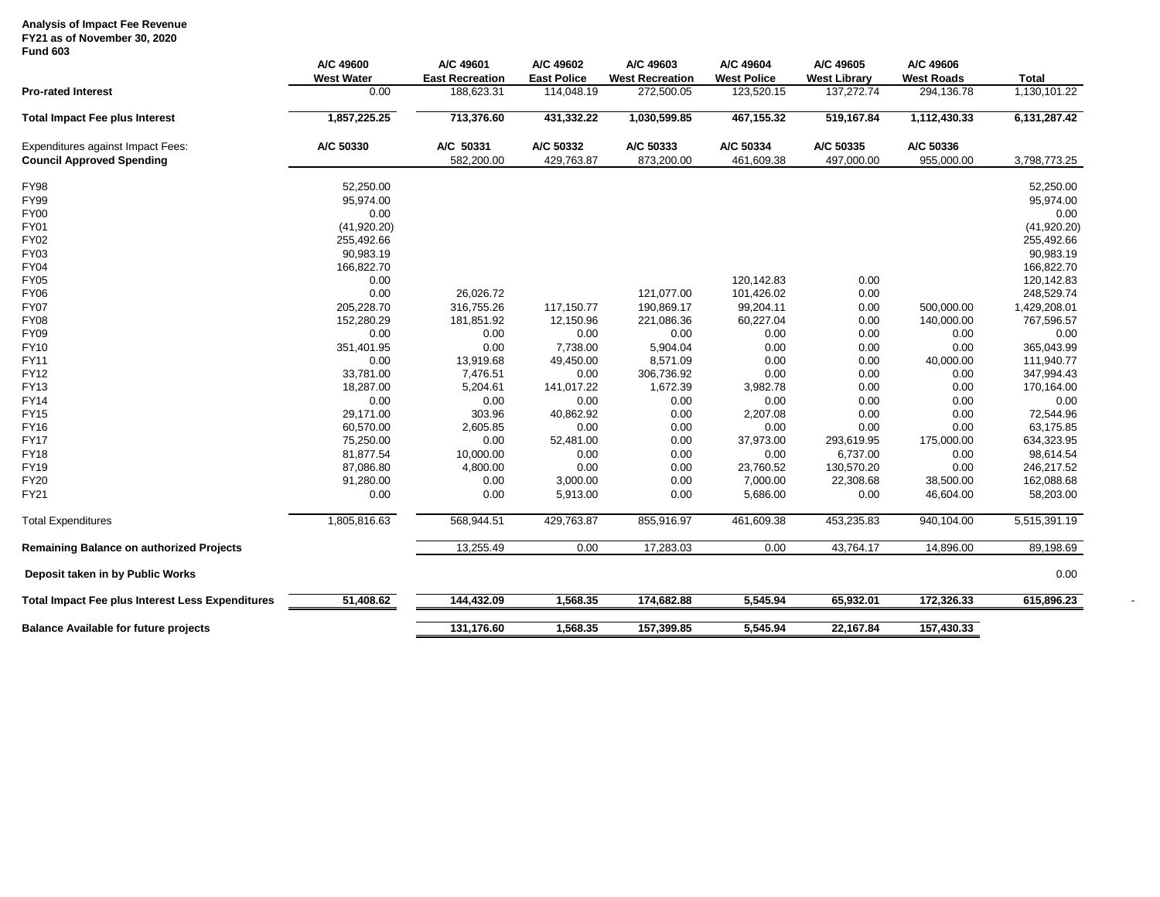### **Analysis of Impact Fee Revenue FY21 as of November 30, 2020**

# **Fund 603**

|                                                         | A/C 49600<br><b>West Water</b> | A/C 49601<br><b>East Recreation</b> | A/C 49602<br><b>East Police</b> | A/C 49603<br><b>West Recreation</b> | A/C 49604<br><b>West Police</b> | A/C 49605<br><b>West Library</b> | A/C 49606<br><b>West Roads</b> | <b>Total</b> |
|---------------------------------------------------------|--------------------------------|-------------------------------------|---------------------------------|-------------------------------------|---------------------------------|----------------------------------|--------------------------------|--------------|
| <b>Pro-rated Interest</b>                               | 0.00                           | 188,623.31                          | 114,048.19                      | 272,500.05                          | 123,520.15                      | 137,272.74                       | 294,136.78                     | 1,130,101.22 |
| <b>Total Impact Fee plus Interest</b>                   | 1,857,225.25                   | 713,376.60                          | 431,332.22                      | 1,030,599.85                        | 467,155.32                      | 519,167.84                       | 1,112,430.33                   | 6,131,287.42 |
| <b>Expenditures against Impact Fees:</b>                | A/C 50330                      | A/C 50331                           | A/C 50332                       | A/C 50333                           | A/C 50334                       | A/C 50335                        | A/C 50336                      |              |
| <b>Council Approved Spending</b>                        |                                | 582,200.00                          | 429,763.87                      | 873,200.00                          | 461,609.38                      | 497,000.00                       | 955,000.00                     | 3,798,773.25 |
| <b>FY98</b>                                             | 52,250.00                      |                                     |                                 |                                     |                                 |                                  |                                | 52,250.00    |
| FY99                                                    | 95,974.00                      |                                     |                                 |                                     |                                 |                                  |                                | 95,974.00    |
| <b>FY00</b>                                             | 0.00                           |                                     |                                 |                                     |                                 |                                  |                                | 0.00         |
| <b>FY01</b>                                             | (41,920.20)                    |                                     |                                 |                                     |                                 |                                  |                                | (41,920.20)  |
| <b>FY02</b>                                             | 255,492.66                     |                                     |                                 |                                     |                                 |                                  |                                | 255,492.66   |
| FY03                                                    | 90,983.19                      |                                     |                                 |                                     |                                 |                                  |                                | 90,983.19    |
| <b>FY04</b>                                             | 166,822.70                     |                                     |                                 |                                     |                                 |                                  |                                | 166,822.70   |
| <b>FY05</b>                                             | 0.00                           |                                     |                                 |                                     | 120,142.83                      | 0.00                             |                                | 120,142.83   |
| <b>FY06</b>                                             | 0.00                           | 26,026.72                           |                                 | 121,077.00                          | 101,426.02                      | 0.00                             |                                | 248,529.74   |
| <b>FY07</b>                                             | 205,228.70                     | 316,755.26                          | 117,150.77                      | 190,869.17                          | 99,204.11                       | 0.00                             | 500,000.00                     | 1,429,208.01 |
| <b>FY08</b>                                             | 152,280.29                     | 181,851.92                          | 12,150.96                       | 221,086.36                          | 60,227.04                       | 0.00                             | 140,000.00                     | 767,596.57   |
| <b>FY09</b>                                             | 0.00                           | 0.00                                | 0.00                            | 0.00                                | 0.00                            | 0.00                             | 0.00                           | 0.00         |
| <b>FY10</b>                                             | 351,401.95                     | 0.00                                | 7,738.00                        | 5,904.04                            | 0.00                            | 0.00                             | 0.00                           | 365,043.99   |
| <b>FY11</b>                                             | 0.00                           | 13,919.68                           | 49,450.00                       | 8,571.09                            | 0.00                            | 0.00                             | 40,000.00                      | 111,940.77   |
| <b>FY12</b>                                             | 33,781.00                      | 7,476.51                            | 0.00                            | 306,736.92                          | 0.00                            | 0.00                             | 0.00                           | 347,994.43   |
| FY13                                                    | 18,287.00                      | 5,204.61                            | 141,017.22                      | 1,672.39                            | 3,982.78                        | 0.00                             | 0.00                           | 170,164.00   |
| <b>FY14</b>                                             | 0.00                           | 0.00                                | 0.00                            | 0.00                                | 0.00                            | 0.00                             | 0.00                           | 0.00         |
| <b>FY15</b>                                             | 29,171.00                      | 303.96                              | 40,862.92                       | 0.00                                | 2,207.08                        | 0.00                             | 0.00                           | 72,544.96    |
| <b>FY16</b>                                             | 60,570.00                      | 2,605.85                            | 0.00                            | 0.00                                | 0.00                            | 0.00                             | 0.00                           | 63,175.85    |
| <b>FY17</b>                                             | 75,250.00                      | 0.00                                | 52,481.00                       | 0.00                                | 37,973.00                       | 293,619.95                       | 175,000.00                     | 634,323.95   |
| <b>FY18</b>                                             | 81,877.54                      | 10,000.00                           | 0.00                            | 0.00                                | 0.00                            | 6,737.00                         | 0.00                           | 98,614.54    |
| <b>FY19</b>                                             | 87,086.80                      | 4,800.00                            | 0.00                            | 0.00                                | 23,760.52                       | 130,570.20                       | 0.00                           | 246,217.52   |
| <b>FY20</b>                                             | 91,280.00                      | 0.00                                | 3,000.00                        | 0.00                                | 7,000.00                        | 22,308.68                        | 38,500.00                      | 162,088.68   |
| FY21                                                    | 0.00                           | 0.00                                | 5,913.00                        | 0.00                                | 5,686.00                        | 0.00                             | 46,604.00                      | 58,203.00    |
| <b>Total Expenditures</b>                               | 1,805,816.63                   | 568,944.51                          | 429,763.87                      | 855,916.97                          | 461,609.38                      | 453,235.83                       | 940,104.00                     | 5,515,391.19 |
| <b>Remaining Balance on authorized Projects</b>         |                                | 13,255.49                           | 0.00                            | 17,283.03                           | 0.00                            | 43,764.17                        | 14,896.00                      | 89,198.69    |
| Deposit taken in by Public Works                        |                                |                                     |                                 |                                     |                                 |                                  |                                | 0.00         |
| <b>Total Impact Fee plus Interest Less Expenditures</b> | 51,408.62                      | 144,432.09                          | 1,568.35                        | 174,682.88                          | 5,545.94                        | 65,932.01                        | 172,326.33                     | 615,896.23   |
| <b>Balance Available for future projects</b>            |                                | 131,176.60                          | 1,568.35                        | 157,399.85                          | 5.545.94                        | 22,167.84                        | 157,430.33                     |              |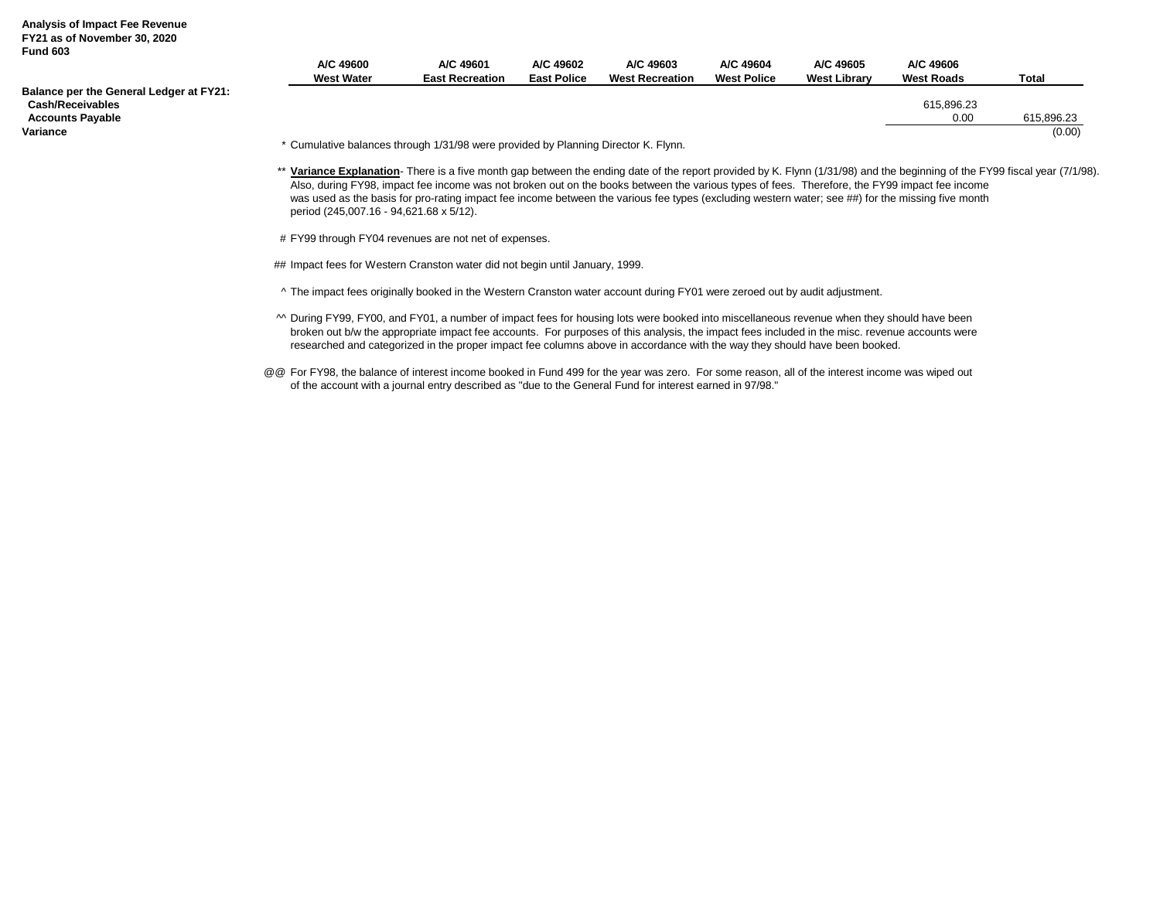#### **Analysis of Impact Fee Revenue FY21 as of November 30, 2020 Fund 603**

|                                                                    | A/C 49600<br><b>West Water</b>                                                     | A/C 49601<br><b>East Recreation</b> | A/C 49602<br><b>East Police</b> | A/C 49603<br><b>West Recreation</b> | A/C 49604<br><b>West Police</b> | A/C 49605<br><b>West Library</b> | A/C 49606<br><b>West Roads</b> | <b>Total</b> |
|--------------------------------------------------------------------|------------------------------------------------------------------------------------|-------------------------------------|---------------------------------|-------------------------------------|---------------------------------|----------------------------------|--------------------------------|--------------|
| Balance per the General Ledger at FY21:<br><b>Cash/Receivables</b> |                                                                                    |                                     |                                 |                                     |                                 |                                  | 615.896.23                     |              |
| <b>Accounts Payable</b>                                            |                                                                                    |                                     |                                 |                                     |                                 |                                  | 0.00                           | 615.896.23   |
| Variance                                                           |                                                                                    |                                     |                                 |                                     |                                 |                                  |                                | (0.00)       |
|                                                                    | * Cumulative balances through 1/31/98 were provided by Planning Director K. Flynn. |                                     |                                 |                                     |                                 |                                  |                                |              |

\*\* **Variance Explanation**- There is a five month gap between the ending date of the report provided by K. Flynn (1/31/98) and the beginning of the FY99 fiscal year (7/1/98). Also, during FY98, impact fee income was not broken out on the books between the various types of fees. Therefore, the FY99 impact fee income was used as the basis for pro-rating impact fee income between the various fee types (excluding western water; see ##) for the missing five month period (245,007.16 - 94,621.68 x 5/12).

# FY99 through FY04 revenues are not net of expenses.

## Impact fees for Western Cranston water did not begin until January, 1999.

^ The impact fees originally booked in the Western Cranston water account during FY01 were zeroed out by audit adjustment.

- ^^ During FY99, FY00, and FY01, a number of impact fees for housing lots were booked into miscellaneous revenue when they should have been broken out b/w the appropriate impact fee accounts. For purposes of this analysis, the impact fees included in the misc. revenue accounts were researched and categorized in the proper impact fee columns above in accordance with the way they should have been booked.
- @@ For FY98, the balance of interest income booked in Fund 499 for the year was zero. For some reason, all of the interest income was wiped out of the account with a journal entry described as "due to the General Fund for interest earned in 97/98."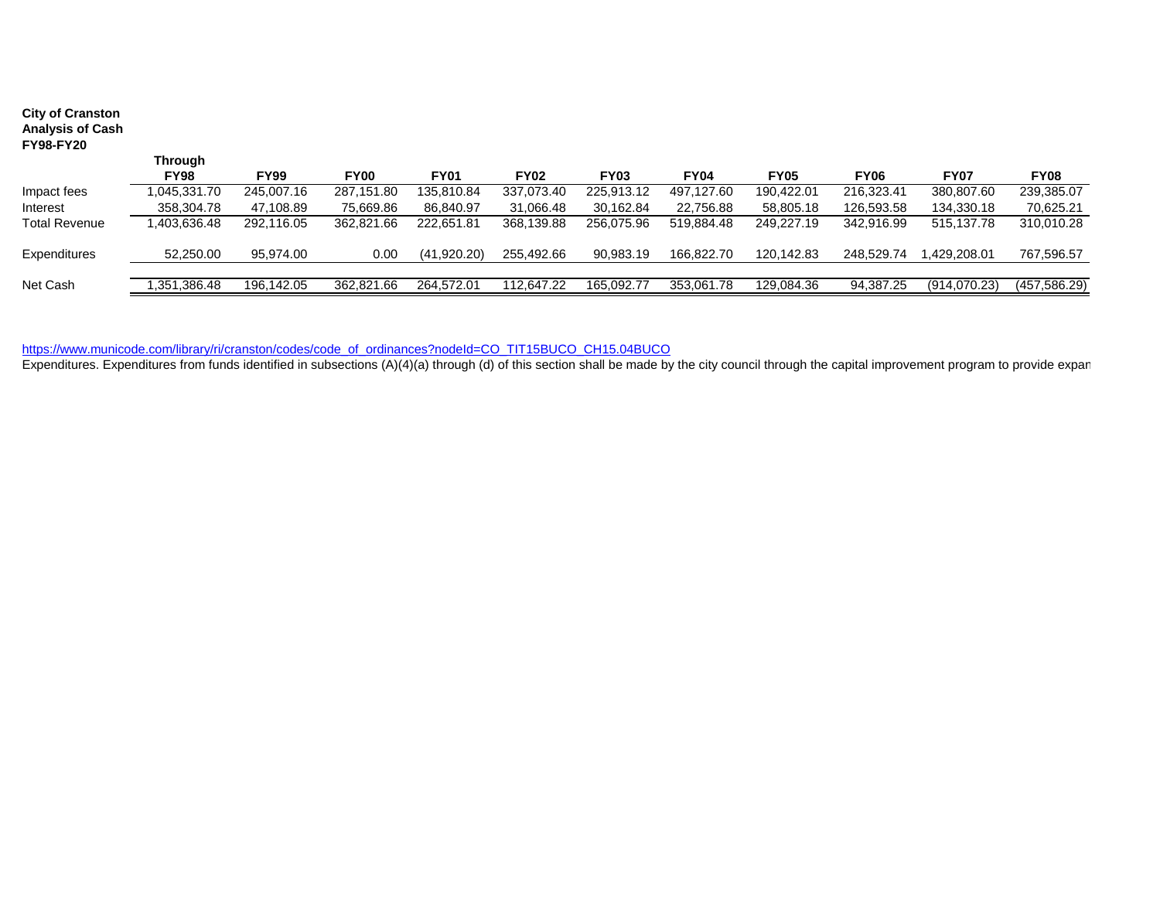| <b>City of Cranston</b><br><b>Analysis of Cash</b><br><b>FY98-FY20</b> |             |             |             |             |             |             |             |             |             |              |               |
|------------------------------------------------------------------------|-------------|-------------|-------------|-------------|-------------|-------------|-------------|-------------|-------------|--------------|---------------|
|                                                                        | Through     |             |             |             |             |             |             |             |             |              |               |
|                                                                        | <b>FY98</b> | <b>FY99</b> | <b>FY00</b> | <b>FY01</b> | <b>FY02</b> | <b>FY03</b> | <b>FY04</b> | <b>FY05</b> | <b>FY06</b> | <b>FY07</b>  | <b>FY08</b>   |
| Impact fees                                                            | 045,331.70  | 245,007.16  | 287,151.80  | 135,810.84  | 337,073.40  | 225,913.12  | 497.127.60  | 190.422.01  | 216,323.41  | 380,807.60   | 239,385.07    |
| Interest                                                               | 358,304.78  | 47,108.89   | 75,669.86   | 86,840.97   | 31,066.48   | 30,162.84   | 22,756.88   | 58,805.18   | 126,593.58  | 134,330.18   | 70,625.21     |
| <b>Total Revenue</b>                                                   | ,403,636.48 | 292,116.05  | 362,821.66  | 222,651.81  | 368,139.88  | 256,075.96  | 519,884.48  | 249,227.19  | 342,916.99  | 515,137.78   | 310,010.28    |
| Expenditures                                                           | 52,250.00   | 95,974.00   | 0.00        | (41,920.20) | 255,492.66  | 90,983.19   | 166,822.70  | 120.142.83  | 248.529.74  | ,429,208.01  | 767,596.57    |
|                                                                        |             |             |             |             |             |             |             |             |             |              |               |
| Net Cash                                                               | .351.386.48 | 196.142.05  | 362.821.66  | 264.572.01  | 112.647.22  | 165.092.77  | 353.061.78  | 129,084.36  | 94,387.25   | (914,070.23) | (457, 586.29) |

[https://www.municode.com/library/ri/cranston/codes/code\\_of\\_ordinances?nodeId=CO\\_TIT15BUCO\\_CH15.04BUCO](https://www.municode.com/library/ri/cranston/codes/code_of_ordinances?nodeId=CO_TIT15BUCO_CH15.04BUCO)

Expenditures. Expenditures from funds identified in subsections (A)(4)(a) through (d) of this section shall be made by the city council through the capital improvement program to provide expan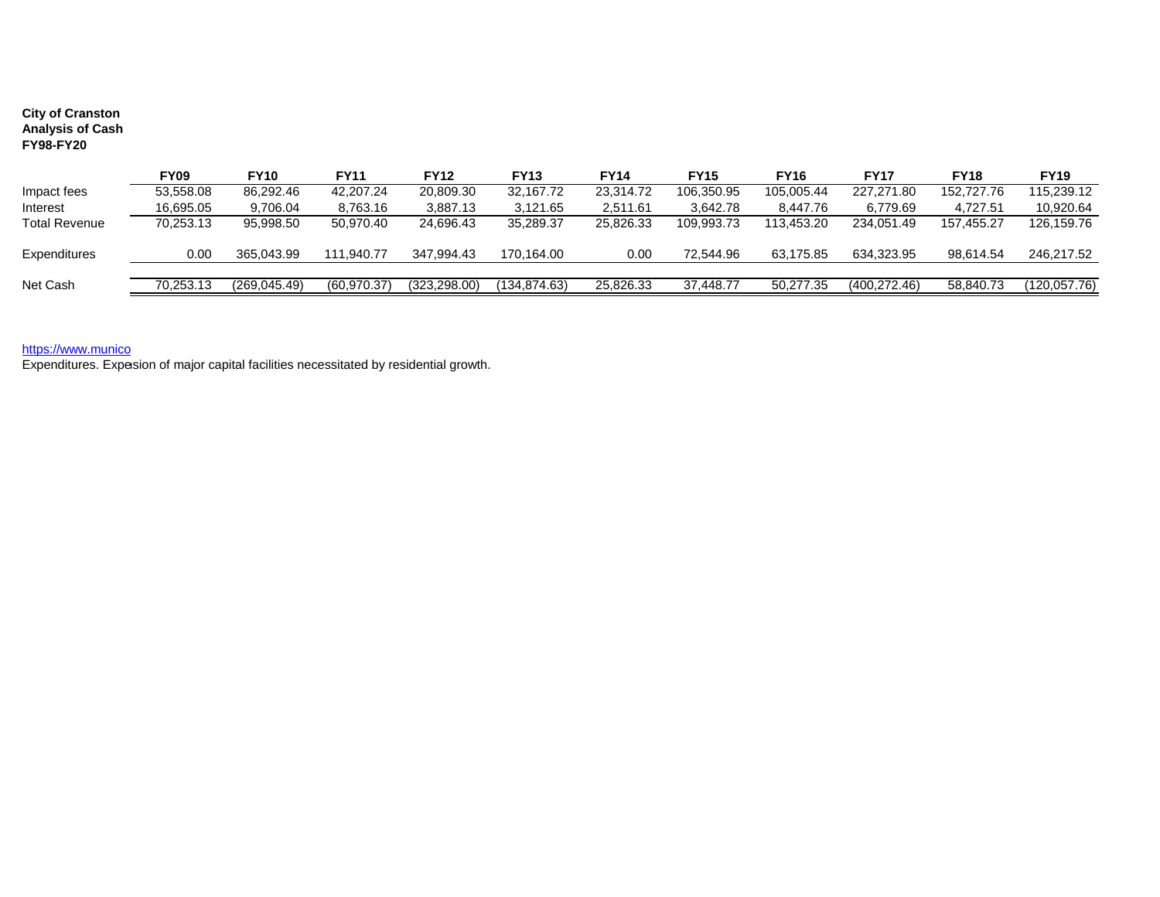## **City of Cranston Analysis of Cash FY98-FY20**

|                      | FY09      | <b>FY10</b>   | <b>FY11</b>  | <b>FY12</b>   | FY13         | FY14      | <b>FY15</b> | <b>FY16</b> | <b>FY17</b>   | <b>FY18</b> | <b>FY19</b>  |
|----------------------|-----------|---------------|--------------|---------------|--------------|-----------|-------------|-------------|---------------|-------------|--------------|
| Impact fees          | 53,558.08 | 86,292.46     | 42,207.24    | 20,809.30     | 32,167.72    | 23.314.72 | 106,350.95  | 105.005.44  | 227.271.80    | 152,727.76  | 115.239.12   |
| Interest             | 16.695.05 | 9.706.04      | 8,763.16     | 3.887.13      | 3.121.65     | 2.511.61  | 3.642.78    | 8.447.76    | 6.779.69      | 4.727.51    | 10.920.64    |
| <b>Total Revenue</b> | 70.253.13 | 95.998.50     | 50.970.40    | 24.696.43     | 35.289.37    | 25.826.33 | 109.993.73  | 113.453.20  | 234.051.49    | 157.455.27  | 126,159.76   |
| Expenditures         | 0.00      | 365.043.99    | 111.940.77   | 347.994.43    | 170.164.00   | 0.00      | 72.544.96   | 63.175.85   | 634.323.95    | 98.614.54   | 246,217.52   |
| Net Cash             | 70,253.13 | (269, 045.49) | (60, 970.37) | (323, 298.00) | (134,874.63) | 25,826.33 | 37,448.77   | 50,277.35   | (400, 272.46) | 58,840.73   | (120,057.76) |

### [https://www.munico](https://www.municode.com/library/ri/cranston/codes/code_of_ordinances?nodeId=CO_TIT15BUCO_CH15.04BUCO)

Expenditures. Expesion of major capital facilities necessitated by residential growth.